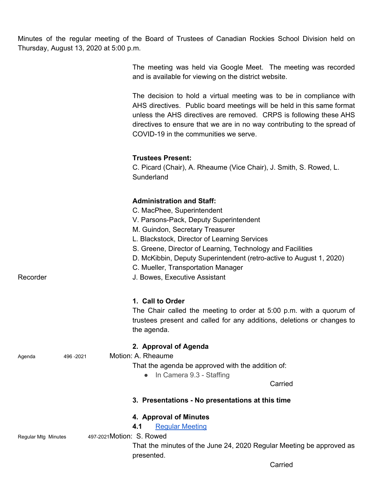Minutes of the regular meeting of the Board of Trustees of Canadian Rockies School Division held on Thursday, August 13, 2020 at 5:00 p.m.

> The meeting was held via Google Meet. The meeting was recorded and is available for viewing on the district website.

> The decision to hold a virtual meeting was to be in compliance with AHS directives. Public board meetings will be held in this same format unless the AHS directives are removed. CRPS is following these AHS directives to ensure that we are in no way contributing to the spread of COVID-19 in the communities we serve.

#### **Trustees Present:**

C. Picard (Chair), A. Rheaume (Vice Chair), J. Smith, S. Rowed, L. **Sunderland** 

## **Administration and Staff:**

|                                                  | וושיט שווש ושהשוואר                                                                |
|--------------------------------------------------|------------------------------------------------------------------------------------|
|                                                  | C. MacPhee, Superintendent                                                         |
|                                                  | V. Parsons-Pack, Deputy Superintendent                                             |
|                                                  | M. Guindon, Secretary Treasurer                                                    |
|                                                  | L. Blackstock, Director of Learning Services                                       |
|                                                  | S. Greene, Director of Learning, Technology and Facilities                         |
|                                                  | D. McKibbin, Deputy Superintendent (retro-active to August 1, 2020)                |
|                                                  | C. Mueller, Transportation Manager                                                 |
| Recorder                                         | J. Bowes, Executive Assistant                                                      |
|                                                  | 1. Call to Order                                                                   |
|                                                  | The Chair called the meeting to order at 5:00 p.m. with a quorum of                |
|                                                  | trustees present and called for any additions, deletions or changes to             |
|                                                  | the agenda.                                                                        |
|                                                  |                                                                                    |
|                                                  | 2. Approval of Agenda                                                              |
| 496-2021<br>Agenda                               | Motion: A. Rheaume                                                                 |
|                                                  | That the agenda be approved with the addition of:                                  |
|                                                  | • In Camera 9.3 - Staffing                                                         |
|                                                  | Carried                                                                            |
|                                                  | 3. Presentations - No presentations at this time                                   |
|                                                  | 4. Approval of Minutes                                                             |
|                                                  | 4.1<br><b>Regular Meeting</b>                                                      |
| 497-2021 Motion: S. Rowed<br>Regular Mtg Minutes |                                                                                    |
|                                                  | That the minutes of the June 24, 2020 Regular Meeting be approved as<br>presented. |
|                                                  | Carried                                                                            |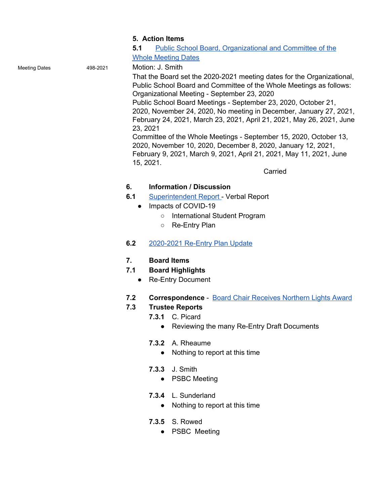#### **5. Action Items**

**5.1** Public School Board, [Organizational](https://drive.google.com/file/d/1EAQrNcw8xfc-a4-dvasdz9SUtb88XRHf/view?usp=sharing) and Committee of the Whole [Meeting](https://drive.google.com/file/d/1EAQrNcw8xfc-a4-dvasdz9SUtb88XRHf/view?usp=sharing) Dates

Meeting Dates 498-2021 Motion: J. Smith

That the Board set the 2020-2021 meeting dates for the Organizational, Public School Board and Committee of the Whole Meetings as follows: Organizational Meeting - September 23, 2020

Public School Board Meetings - September 23, 2020, October 21, 2020, November 24, 2020, No meeting in December, January 27, 2021, February 24, 2021, March 23, 2021, April 21, 2021, May 26, 2021, June 23, 2021

Committee of the Whole Meetings - September 15, 2020, October 13, 2020, November 10, 2020, December 8, 2020, January 12, 2021, February 9, 2021, March 9, 2021, April 21, 2021, May 11, 2021, June 15, 2021.

Carried

## **6. Information / Discussion**

- **6.1** [Superintendent](https://drive.google.com/file/d/1ENfTjst4K1YptZa4CBSG7QIEB-6ImgjV/view?usp=sharing) Report Verbal Report
	- Impacts of COVID-19
		- International Student Program
		- Re-Entry Plan

# **6.2** [2020-2021](https://drive.google.com/file/d/1EXQ692rsrMUUU6E8rvB5iZqk94cdhbkr/view?usp=sharing) Re-Entry Plan Update

## **7. Board Items**

- **7.1 Board Highlights**
	- Re-Entry Document
- **7.2 Correspondence** Board Chair [Receives](https://drive.google.com/file/d/13X5d775guJeMfrhumF_h2aBOHk55hm3X/view?usp=sharing) Northern Lights Award

## **7.3 Trustee Reports**

- **7.3.1** C. Picard
	- Reviewing the many Re-Entry Draft Documents
- **7.3.2** A. Rheaume
	- Nothing to report at this time
- **7.3.3** J. Smith
	- PSBC Meeting
- **7.3.4** L. Sunderland
	- Nothing to report at this time
- **7.3.5** S. Rowed
	- PSBC Meeting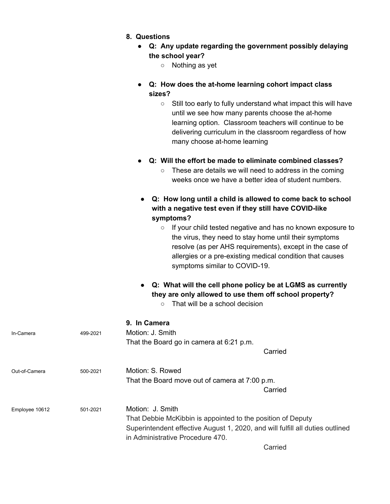- **● Q: Any update regarding the government possibly delaying the school year?**
	- Nothing as yet
- **● Q: How does the at-home learning cohort impact class sizes?**
	- Still too early to fully understand what impact this will have until we see how many parents choose the at-home learning option. Classroom teachers will continue to be delivering curriculum in the classroom regardless of how many choose at-home learning
- **● Q: Will the effort be made to eliminate combined classes?**
	- These are details we will need to address in the coming weeks once we have a better idea of student numbers.
- **● Q: How long until a child is allowed to come back to school with a negative test even if they still have COVID-like symptoms?**
	- If your child tested negative and has no known exposure to the virus, they need to stay home until their symptoms resolve (as per AHS requirements), except in the case of allergies or a pre-existing medical condition that causes symptoms similar to COVID-19.
- **● Q: What will the cell phone policy be at LGMS as currently they are only allowed to use them off school property?**
	- That will be a school decision

|                            |                                                                                                                   | 9. ili Galilera                                |
|----------------------------|-------------------------------------------------------------------------------------------------------------------|------------------------------------------------|
| In-Camera                  | 499-2021                                                                                                          | Motion: J. Smith                               |
|                            |                                                                                                                   | That the Board go in camera at 6:21 p.m.       |
|                            |                                                                                                                   | Carried                                        |
| Out-of-Camera<br>500-2021  | Motion: S. Rowed                                                                                                  |                                                |
|                            |                                                                                                                   | That the Board move out of camera at 7:00 p.m. |
|                            |                                                                                                                   | Carried                                        |
| Employee 10612<br>501-2021 |                                                                                                                   | Motion: J. Smith                               |
|                            | That Debbie McKibbin is appointed to the position of Deputy                                                       |                                                |
|                            | Superintendent effective August 1, 2020, and will fulfill all duties outlined<br>in Administrative Procedure 470. |                                                |
|                            |                                                                                                                   |                                                |

**9. In Camera**

Carried